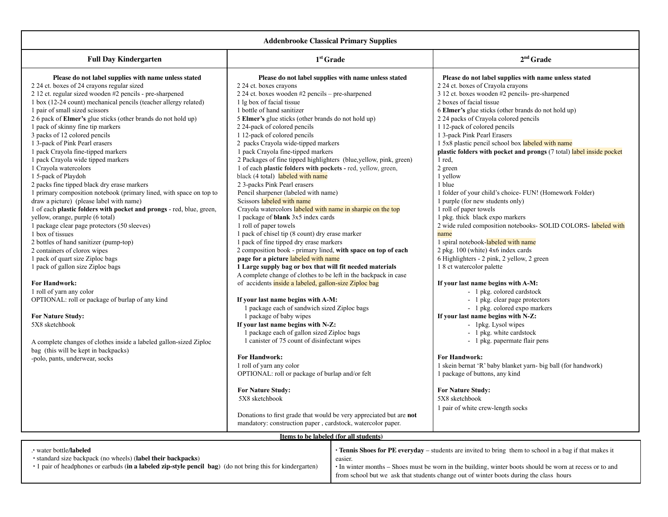| <b>Addenbrooke Classical Primary Supplies</b>                                                                                                                                                                                                                                                                                                                                                                                                                                                                                                                                                                                                                                                                                                                                                                                                                                                                                                                                                                                                                                         |                                                                                                                                                                                                                                                                                                                                                                                                                                                                                                                                                                                                                                                                                                                                                                                                                                                                                                                                                                                                                                                                                            |                                                                                                                                                                                                                                                                                                                                                                                                                                                                                                                                                                                                                                                                                                                                                                                                                                                                                                               |  |  |  |
|---------------------------------------------------------------------------------------------------------------------------------------------------------------------------------------------------------------------------------------------------------------------------------------------------------------------------------------------------------------------------------------------------------------------------------------------------------------------------------------------------------------------------------------------------------------------------------------------------------------------------------------------------------------------------------------------------------------------------------------------------------------------------------------------------------------------------------------------------------------------------------------------------------------------------------------------------------------------------------------------------------------------------------------------------------------------------------------|--------------------------------------------------------------------------------------------------------------------------------------------------------------------------------------------------------------------------------------------------------------------------------------------------------------------------------------------------------------------------------------------------------------------------------------------------------------------------------------------------------------------------------------------------------------------------------------------------------------------------------------------------------------------------------------------------------------------------------------------------------------------------------------------------------------------------------------------------------------------------------------------------------------------------------------------------------------------------------------------------------------------------------------------------------------------------------------------|---------------------------------------------------------------------------------------------------------------------------------------------------------------------------------------------------------------------------------------------------------------------------------------------------------------------------------------------------------------------------------------------------------------------------------------------------------------------------------------------------------------------------------------------------------------------------------------------------------------------------------------------------------------------------------------------------------------------------------------------------------------------------------------------------------------------------------------------------------------------------------------------------------------|--|--|--|
| <b>Full Day Kindergarten</b>                                                                                                                                                                                                                                                                                                                                                                                                                                                                                                                                                                                                                                                                                                                                                                                                                                                                                                                                                                                                                                                          | $1st$ Grade                                                                                                                                                                                                                                                                                                                                                                                                                                                                                                                                                                                                                                                                                                                                                                                                                                                                                                                                                                                                                                                                                | $2nd$ Grade                                                                                                                                                                                                                                                                                                                                                                                                                                                                                                                                                                                                                                                                                                                                                                                                                                                                                                   |  |  |  |
| Please do not label supplies with name unless stated<br>2 24 ct. boxes of 24 crayons regular sized<br>2 12 ct. regular sized wooden #2 pencils - pre-sharpened<br>1 box (12-24 count) mechanical pencils (teacher allergy related)<br>1 pair of small sized scissors<br>2.6 pack of <b>Elmer's</b> glue sticks (other brands do not hold up)<br>1 pack of skinny fine tip markers<br>3 packs of 12 colored pencils<br>1 3-pack of Pink Pearl erasers<br>1 pack Crayola fine-tipped markers<br>1 pack Crayola wide tipped markers<br>1 Crayola watercolors<br>1 5-pack of Playdoh<br>2 packs fine tipped black dry erase markers<br>1 primary composition notebook (primary lined, with space on top to<br>draw a picture) (please label with name)<br>1 of each plastic folders with pocket and prongs - red, blue, green,<br>yellow, orange, purple (6 total)<br>1 package clear page protectors (50 sleeves)<br>1 box of tissues<br>2 bottles of hand sanitizer (pump-top)<br>2 containers of clorox wipes<br>1 pack of quart size Ziploc bags<br>1 pack of gallon size Ziploc bags | Please do not label supplies with name unless stated<br>2 24 ct. boxes crayons<br>2 24 ct. boxes wooden #2 pencils - pre-sharpened<br>1 lg box of facial tissue<br>1 bottle of hand sanitizer<br>5 Elmer's glue sticks (other brands do not hold up)<br>2 24-pack of colored pencils<br>112-pack of colored pencils<br>2 packs Crayola wide-tipped markers<br>1 pack Crayola fine-tipped markers<br>2 Packages of fine tipped highlighters (blue, yellow, pink, green)<br>1 of each plastic folders with pockets - red, yellow, green,<br>black (4 total) labeled with name<br>2 3-packs Pink Pearl erasers<br>Pencil sharpener (labeled with name)<br>Scissors labeled with name<br>Crayola watercolors labeled with name in sharpie on the top<br>1 package of <b>blank</b> 3x5 index cards<br>1 roll of paper towels<br>1 pack of chisel tip (8 count) dry erase marker<br>1 pack of fine tipped dry erase markers<br>2 composition book - primary lined, with space on top of each<br>page for a picture labeled with name<br>1 Large supply bag or box that will fit needed materials | Please do not label supplies with name unless stated<br>2 24 ct. boxes of Crayola crayons<br>3 12 ct. boxes wooden #2 pencils- pre-sharpened<br>2 boxes of facial tissue<br>6 Elmer's glue sticks (other brands do not hold up)<br>2 24 packs of Crayola colored pencils<br>112-pack of colored pencils<br>1 3-pack Pink Pearl Erasers<br>1 5x8 plastic pencil school box labeled with name<br>plastic folders with pocket and prongs (7 total) label inside pocket<br>$1$ red,<br>2 green<br>1 yellow<br>1 blue<br>1 folder of your child's choice- FUN! (Homework Folder)<br>1 purple (for new students only)<br>1 roll of paper towels<br>1 pkg. thick black expo markers<br>2 wide ruled composition notebooks- SOLID COLORS-labeled with<br>name<br>1 spiral notebook-labeled with name<br>2 pkg. 100 (white) 4x6 index cards<br>6 Highlighters - 2 pink, 2 yellow, 2 green<br>1 8 ct watercolor palette |  |  |  |
| <b>For Handwork:</b><br>1 roll of yarn any color<br>OPTIONAL: roll or package of burlap of any kind<br><b>For Nature Study:</b><br>5X8 sketchbook                                                                                                                                                                                                                                                                                                                                                                                                                                                                                                                                                                                                                                                                                                                                                                                                                                                                                                                                     | A complete change of clothes to be left in the backpack in case<br>of accidents inside a labeled, gallon-size Ziploc bag<br>If your last name begins with A-M:<br>1 package each of sandwich sized Ziploc bags<br>1 package of baby wipes<br>If your last name begins with N-Z:<br>1 package each of gallon sized Ziploc bags                                                                                                                                                                                                                                                                                                                                                                                                                                                                                                                                                                                                                                                                                                                                                              | If your last name begins with A-M:<br>- 1 pkg. colored cardstock<br>- 1 pkg. clear page protectors<br>- 1 pkg. colored expo markers<br>If your last name begins with N-Z:<br>- 1pkg. Lysol wipes<br>- 1 pkg. white cardstock                                                                                                                                                                                                                                                                                                                                                                                                                                                                                                                                                                                                                                                                                  |  |  |  |
| A complete changes of clothes inside a labeled gallon-sized Ziploc<br>bag (this will be kept in backpacks)<br>-polo, pants, underwear, socks                                                                                                                                                                                                                                                                                                                                                                                                                                                                                                                                                                                                                                                                                                                                                                                                                                                                                                                                          | 1 can ster of 75 count of disinfectant wipes<br><b>For Handwork:</b><br>1 roll of yarn any color<br>OPTIONAL: roll or package of burlap and/or felt<br><b>For Nature Study:</b><br>5X8 sketchbook<br>Donations to first grade that would be very appreciated but are not<br>mandatory: construction paper, cardstock, watercolor paper.                                                                                                                                                                                                                                                                                                                                                                                                                                                                                                                                                                                                                                                                                                                                                    | - 1 pkg. papermate flair pens<br><b>For Handwork:</b><br>1 skein bernat 'R' baby blanket yarn- big ball (for handwork)<br>1 package of buttons, any kind<br><b>For Nature Study:</b><br>5X8 sketchbook<br>1 pair of white crew-length socks                                                                                                                                                                                                                                                                                                                                                                                                                                                                                                                                                                                                                                                                   |  |  |  |
| Items to be labeled (for all students)<br>. water bottle/labeled<br>• Tennis Shoes for PE everyday – students are invited to bring them to school in a bag if that makes it                                                                                                                                                                                                                                                                                                                                                                                                                                                                                                                                                                                                                                                                                                                                                                                                                                                                                                           |                                                                                                                                                                                                                                                                                                                                                                                                                                                                                                                                                                                                                                                                                                                                                                                                                                                                                                                                                                                                                                                                                            |                                                                                                                                                                                                                                                                                                                                                                                                                                                                                                                                                                                                                                                                                                                                                                                                                                                                                                               |  |  |  |
| · standard size backpack (no wheels) (label their backpacks)                                                                                                                                                                                                                                                                                                                                                                                                                                                                                                                                                                                                                                                                                                                                                                                                                                                                                                                                                                                                                          | easier.                                                                                                                                                                                                                                                                                                                                                                                                                                                                                                                                                                                                                                                                                                                                                                                                                                                                                                                                                                                                                                                                                    |                                                                                                                                                                                                                                                                                                                                                                                                                                                                                                                                                                                                                                                                                                                                                                                                                                                                                                               |  |  |  |

∙ 1 pair of headphones or earbuds (**in a labeled zip-style pencil bag**) (do not bring this for kindergarten)

∙ In winter months – Shoes must be worn in the building, winter boots should be worn at recess or to and from school but we ask that students change out of winter boots during the class hours